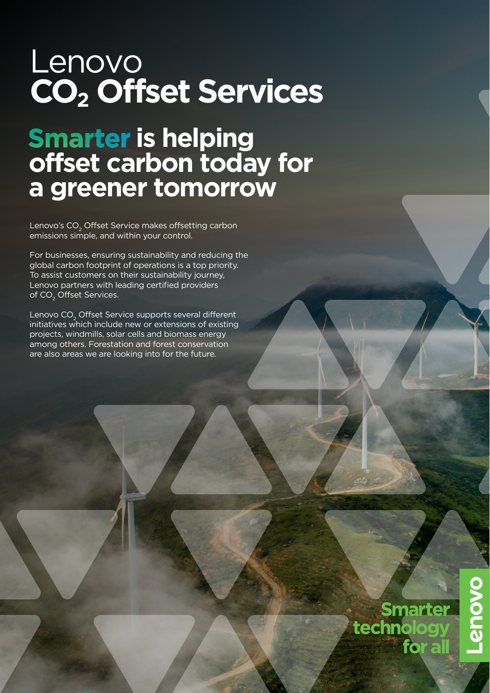# Lenovo **CO2 Offset Services**

# **is helping offset carbon today for a greener tomorrow**

Lenovo's CO<sub>2</sub> Offset Service makes offsetting carbon emissions simple, and within your control.

For businesses, ensuring sustainability and reducing the global carbon footprint of operations is a top priority. To assist customers on their sustainability journey, Lenovo partners with leading certified providers of CO<sub>2</sub> Offset Services.

Lenovo CO<sub>2</sub> Offset Service supports several different initiatives which include new or extensions of existing projects, windmills, solar cells and biomass energy among others. Forestation and forest conservation are also areas we are looking into for the future.

> **Smarter**<br>technology for all